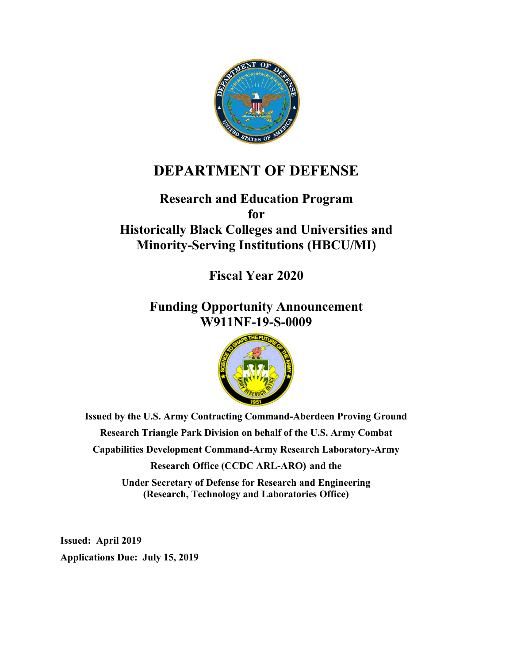

# **DEPARTMENT OF DEFENSE**

# **Research and Education Program for Historically Black Colleges and Universities and Minority-Serving Institutions (HBCU/MI)**

**Fiscal Year 2020**

**Funding Opportunity Announcement W911NF-19-S-0009**



**Issued by the U.S. Army Contracting Command-Aberdeen Proving Ground Research Triangle Park Division on behalf of the U.S. Army Combat Capabilities Development Command-Army Research Laboratory-Army Research Office (CCDC ARL-ARO) and the**

> **Under Secretary of Defense for Research and Engineering (Research, Technology and Laboratories Office)**

**Issued: April 2019 Applications Due: July 15, 2019**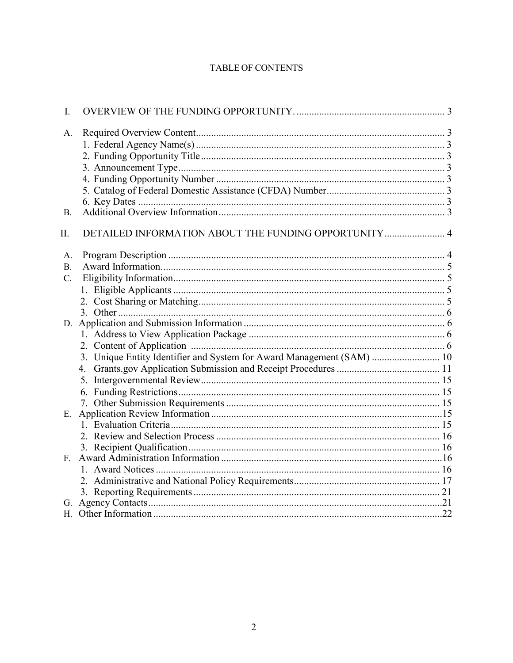#### **TABLE OF CONTENTS**

| I.          |                                                                       |  |
|-------------|-----------------------------------------------------------------------|--|
| A.          |                                                                       |  |
|             |                                                                       |  |
|             |                                                                       |  |
|             |                                                                       |  |
|             |                                                                       |  |
|             |                                                                       |  |
|             |                                                                       |  |
| <b>B.</b>   |                                                                       |  |
| П.          | DETAILED INFORMATION ABOUT THE FUNDING OPPORTUNITY 4                  |  |
| A.          |                                                                       |  |
| <b>B.</b>   |                                                                       |  |
| $C_{\cdot}$ |                                                                       |  |
|             |                                                                       |  |
|             |                                                                       |  |
|             |                                                                       |  |
|             |                                                                       |  |
|             |                                                                       |  |
|             |                                                                       |  |
|             | 3. Unique Entity Identifier and System for Award Management (SAM)  10 |  |
|             |                                                                       |  |
|             |                                                                       |  |
|             |                                                                       |  |
|             |                                                                       |  |
| E.          |                                                                       |  |
|             |                                                                       |  |
|             |                                                                       |  |
|             |                                                                       |  |
| $F_{\perp}$ |                                                                       |  |
|             |                                                                       |  |
|             |                                                                       |  |
|             |                                                                       |  |
|             |                                                                       |  |
|             |                                                                       |  |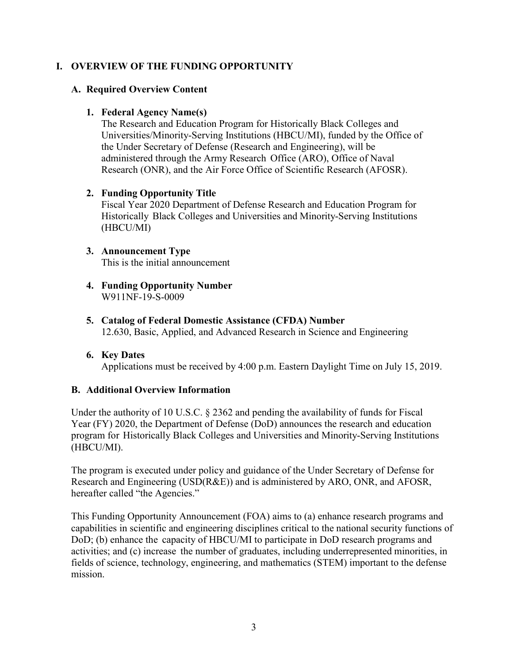# <span id="page-2-0"></span>**I. OVERVIEW OF THE FUNDING OPPORTUNITY**

# <span id="page-2-2"></span><span id="page-2-1"></span>**A. Required Overview Content**

# **1. Federal Agency Name(s)**

The Research and Education Program for Historically Black Colleges and Universities/Minority-Serving Institutions (HBCU/MI), funded by the Office of the Under Secretary of Defense (Research and Engineering), will be administered through the Army Research Office (ARO), Office of Naval Research (ONR), and the Air Force Office of Scientific Research (AFOSR).

# <span id="page-2-3"></span>**2. Funding Opportunity Title**

Fiscal Year 2020 Department of Defense Research and Education Program for Historically Black Colleges and Universities and Minority-Serving Institutions (HBCU/MI)

# <span id="page-2-4"></span>**3. Announcement Type**

This is the initial announcement

- <span id="page-2-5"></span>**4. Funding Opportunity Number** W911NF-19-S-0009
- <span id="page-2-6"></span>**5. Catalog of Federal Domestic Assistance (CFDA) Number** 12.630, Basic, Applied, and Advanced Research in Science and Engineering
- <span id="page-2-7"></span>**6. Key Dates** Applications must be received by 4:00 p.m. Eastern Daylight Time on July 15, 2019.

# <span id="page-2-8"></span>**B. Additional Overview Information**

Under the authority of 10 U.S.C. § 2362 and pending the availability of funds for Fiscal Year (FY) 2020, the Department of Defense (DoD) announces the research and education program for Historically Black Colleges and Universities and Minority-Serving Institutions (HBCU/MI).

The program is executed under policy and guidance of the Under Secretary of Defense for Research and Engineering (USD(R&E)) and is administered by ARO, ONR, and AFOSR, hereafter called "the Agencies."

This Funding Opportunity Announcement (FOA) aims to (a) enhance research programs and capabilities in scientific and engineering disciplines critical to the national security functions of DoD; (b) enhance the capacity of HBCU/MI to participate in DoD research programs and activities; and (c) increase the number of graduates, including underrepresented minorities, in fields of science, technology, engineering, and mathematics (STEM) important to the defense mission.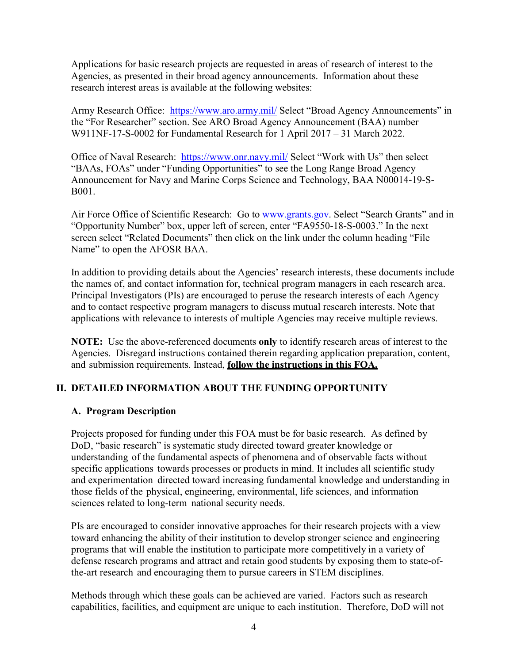Applications for basic research projects are requested in areas of research of interest to the Agencies, as presented in their broad agency announcements. Information about these research interest areas is available at the following websites:

Army Research Office: <https://www.aro.army.mil/> Select "Broad Agency Announcements" in the "For Researcher" section. See ARO Broad Agency Announcement (BAA) number W911NF-17-S-0002 for Fundamental Research for 1 April 2017 – 31 March 2022.

Office of Naval Research: <https://www.onr.navy.mil/> Select "Work with Us" then select "BAAs, FOAs" under "Funding Opportunities" to see the Long Range Broad Agency Announcement for Navy and Marine Corps Science and Technology, BAA N00014-19-S-B001.

Air Force Office of Scientific Research: Go to [www.grants.gov.](http://www.grants.gov/) Select "Search Grants" and in "Opportunity Number" box, upper left of screen, enter "FA9550-18-S-0003." In the next screen select "Related Documents" then click on the link under the column heading "File Name" to open the AFOSR BAA.

In addition to providing details about the Agencies' research interests, these documents include the names of, and contact information for, technical program managers in each research area. Principal Investigators (PIs) are encouraged to peruse the research interests of each Agency and to contact respective program managers to discuss mutual research interests. Note that applications with relevance to interests of multiple Agencies may receive multiple reviews.

**NOTE:** Use the above-referenced documents **only** to identify research areas of interest to the Agencies. Disregard instructions contained therein regarding application preparation, content, and submission requirements. Instead, **follow the instructions in this FOA.**

# <span id="page-3-0"></span>**II. DETAILED INFORMATION ABOUT THE FUNDING OPPORTUNITY**

# <span id="page-3-1"></span>**A. Program Description**

Projects proposed for funding under this FOA must be for basic research. As defined by DoD, "basic research" is systematic study directed toward greater knowledge or understanding of the fundamental aspects of phenomena and of observable facts without specific applications towards processes or products in mind. It includes all scientific study and experimentation directed toward increasing fundamental knowledge and understanding in those fields of the physical, engineering, environmental, life sciences, and information sciences related to long-term national security needs.

PIs are encouraged to consider innovative approaches for their research projects with a view toward enhancing the ability of their institution to develop stronger science and engineering programs that will enable the institution to participate more competitively in a variety of defense research programs and attract and retain good students by exposing them to state-ofthe-art research and encouraging them to pursue careers in STEM disciplines.

Methods through which these goals can be achieved are varied. Factors such as research capabilities, facilities, and equipment are unique to each institution. Therefore, DoD will not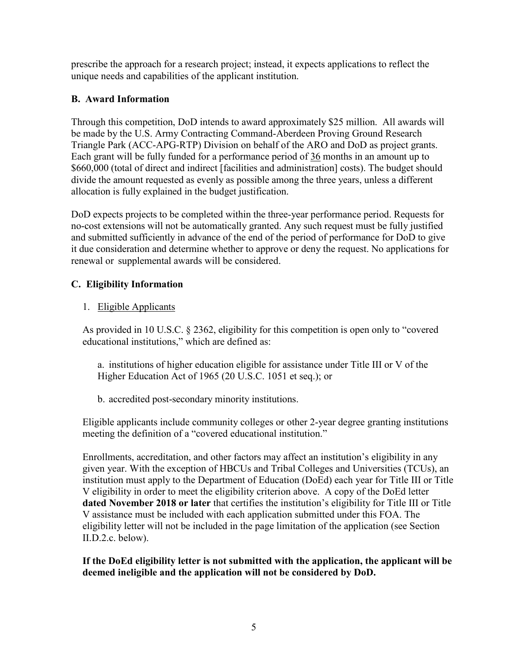prescribe the approach for a research project; instead, it expects applications to reflect the unique needs and capabilities of the applicant institution.

# <span id="page-4-0"></span>**B. Award Information**

Through this competition, DoD intends to award approximately \$25 million. All awards will be made by the U.S. Army Contracting Command-Aberdeen Proving Ground Research Triangle Park (ACC-APG-RTP) Division on behalf of the ARO and DoD as project grants. Each grant will be fully funded for a performance period of 36 months in an amount up to \$660,000 (total of direct and indirect [facilities and administration] costs). The budget should divide the amount requested as evenly as possible among the three years, unless a different allocation is fully explained in the budget justification.

DoD expects projects to be completed within the three-year performance period. Requests for no-cost extensions will not be automatically granted. Any such request must be fully justified and submitted sufficiently in advance of the end of the period of performance for DoD to give it due consideration and determine whether to approve or deny the request. No applications for renewal or supplemental awards will be considered.

# <span id="page-4-1"></span>**C. Eligibility Information**

# <span id="page-4-2"></span>1. Eligible Applicants

As provided in 10 U.S.C. § 2362, eligibility for this competition is open only to "covered educational institutions," which are defined as:

a. institutions of higher education eligible for assistance under Title III or V of the Higher Education Act of 1965 (20 U.S.C. 1051 et seq.); or

b. accredited post-secondary minority institutions.

Eligible applicants include community colleges or other 2-year degree granting institutions meeting the definition of a "covered educational institution."

Enrollments, accreditation, and other factors may affect an institution's eligibility in any given year. With the exception of HBCUs and Tribal Colleges and Universities (TCUs), an institution must apply to the Department of Education (DoEd) each year for Title III or Title V eligibility in order to meet the eligibility criterion above. A copy of the DoEd letter **dated November 2018 or later** that certifies the institution's eligibility for Title III or Title V assistance must be included with each application submitted under this FOA. The eligibility letter will not be included in the page limitation of the application (see Section II.D.2.c. below).

# **If the DoEd eligibility letter is not submitted with the application, the applicant will be deemed ineligible and the application will not be considered by DoD.**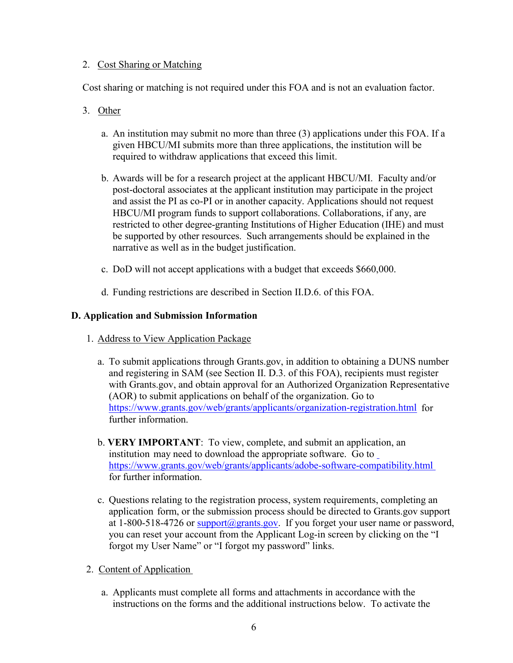# <span id="page-5-0"></span>2. Cost Sharing or Matching

Cost sharing or matching is not required under this FOA and is not an evaluation factor.

- <span id="page-5-1"></span>3.Other
	- a. An institution may submit no more than three (3) applications under this FOA. If a given HBCU/MI submits more than three applications, the institution will be required to withdraw applications that exceed this limit.
	- b. Awards will be for a research project at the applicant HBCU/MI. Faculty and/or post-doctoral associates at the applicant institution may participate in the project and assist the PI as co-PI or in another capacity. Applications should not request HBCU/MI program funds to support collaborations. Collaborations, if any, are restricted to other degree-granting Institutions of Higher Education (IHE) and must be supported by other resources. Such arrangements should be explained in the narrative as well as in the budget justification.
	- c. DoD will not accept applications with a budget that exceeds \$660,000.
	- d. Funding restrictions are described in Section II.D.6. of this FOA.

# <span id="page-5-3"></span><span id="page-5-2"></span>**D. Application and Submission Information**

- 1. Address to View Application Package
	- a. To submit applications through Grants.gov, in addition to obtaining a DUNS number and registering in SAM (see Section II. D.3. of this FOA), recipients must register with Grants.gov, and obtain approval for an Authorized Organization Representative (AOR) to submit applications on behalf of the organization. Go to <https://www.grants.gov/web/grants/applicants/organization-registration.html> for further information.
	- b. **VERY IMPORTANT**: To view, complete, and submit an application, an institution may need to download the appropriate software. Go to <https://www.grants.gov/web/grants/applicants/adobe-software-compatibility.html> for further information.
	- c. Questions relating to the registration process, system requirements, completing an application form, or the submission process should be directed to Grants.gov support at 1-800-518-4726 or support $(a)$  grants.gov. If you forget your user name or password, you can reset your account from the Applicant Log-in screen by clicking on the "I forgot my User Name" or "I forgot my password" links.
- <span id="page-5-4"></span>2. Content of Application
	- a. Applicants must complete all forms and attachments in accordance with the instructions on the forms and the additional instructions below. To activate the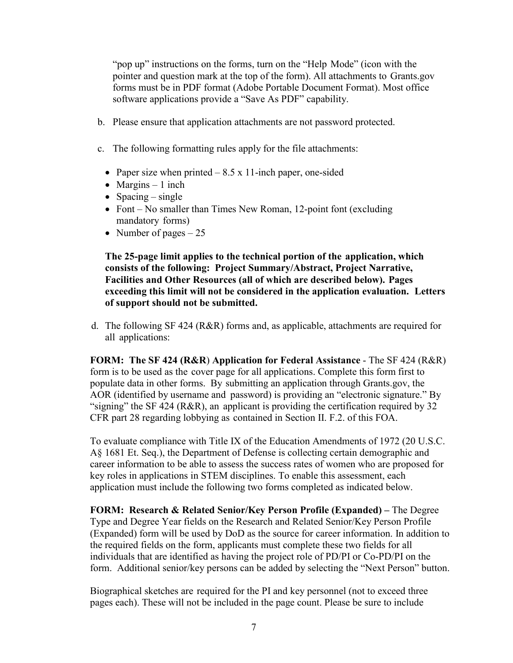"pop up" instructions on the forms, turn on the "Help Mode" (icon with the pointer and question mark at the top of the form). All attachments to Grants.gov forms must be in PDF format (Adobe Portable Document Format). Most office software applications provide a "Save As PDF" capability.

- b. Please ensure that application attachments are not password protected.
- c. The following formatting rules apply for the file attachments:
	- Paper size when printed  $-8.5 \times 11$ -inch paper, one-sided
	- Margins 1 inch
	- Spacing single
	- Font No smaller than Times New Roman, 12-point font (excluding mandatory forms)
	- Number of pages  $-25$

**The 25-page limit applies to the technical portion of the application, which consists of the following: Project Summary/Abstract, Project Narrative, Facilities and Other Resources (all of which are described below). Pages exceeding this limit will not be considered in the application evaluation. Letters of support should not be submitted.** 

d. The following SF 424 (R&R) forms and, as applicable, attachments are required for all applications:

**FORM: The SF 424 (R&R**) **Application for Federal Assistance** - The SF 424 (R&R) form is to be used as the cover page for all applications. Complete this form first to populate data in other forms. By submitting an application through Grants.gov, the AOR (identified by username and password) is providing an "electronic signature." By "signing" the SF 424 (R&R), an applicant is providing the certification required by 32 CFR part 28 regarding lobbying as contained in Section II. F.2. of this FOA.

To evaluate compliance with Title IX of the Education Amendments of 1972 (20 U.S.C. A§ 1681 Et. Seq.), the Department of Defense is collecting certain demographic and career information to be able to assess the success rates of women who are proposed for key roles in applications in STEM disciplines. To enable this assessment, each application must include the following two forms completed as indicated below.

**FORM: Research & Related Senior/Key Person Profile (Expanded) –** The Degree Type and Degree Year fields on the Research and Related Senior/Key Person Profile (Expanded) form will be used by DoD as the source for career information. In addition to the required fields on the form, applicants must complete these two fields for all individuals that are identified as having the project role of PD/PI or Co-PD/PI on the form. Additional senior/key persons can be added by selecting the "Next Person" button.

Biographical sketches are required for the PI and key personnel (not to exceed three pages each). These will not be included in the page count. Please be sure to include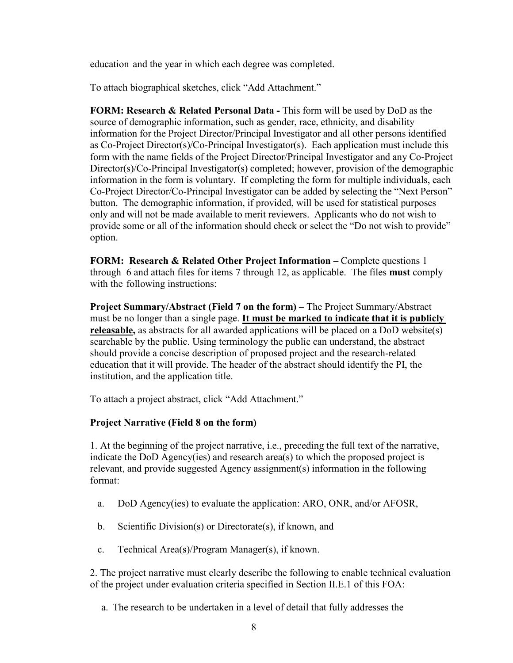education and the year in which each degree was completed.

To attach biographical sketches, click "Add Attachment."

**FORM: Research & Related Personal Data -** This form will be used by DoD as the source of demographic information, such as gender, race, ethnicity, and disability information for the Project Director/Principal Investigator and all other persons identified as Co-Project Director(s)/Co-Principal Investigator(s). Each application must include this form with the name fields of the Project Director/Principal Investigator and any Co-Project Director(s)/Co-Principal Investigator(s) completed; however, provision of the demographic information in the form is voluntary. If completing the form for multiple individuals, each Co-Project Director/Co-Principal Investigator can be added by selecting the "Next Person" button. The demographic information, if provided, will be used for statistical purposes only and will not be made available to merit reviewers. Applicants who do not wish to provide some or all of the information should check or select the "Do not wish to provide" option.

**FORM: Research & Related Other Project Information –** Complete questions 1 through 6 and attach files for items 7 through 12, as applicable. The files **must** comply with the following instructions:

**Project Summary/Abstract (Field 7 on the form) –** The Project Summary/Abstract must be no longer than a single page. **It must be marked to indicate that it is publicly releasable,** as abstracts for all awarded applications will be placed on a DoD website(s) searchable by the public. Using terminology the public can understand, the abstract should provide a concise description of proposed project and the research-related education that it will provide. The header of the abstract should identify the PI, the institution, and the application title.

To attach a project abstract, click "Add Attachment."

# **Project Narrative (Field 8 on the form)**

1. At the beginning of the project narrative, i.e., preceding the full text of the narrative, indicate the DoD Agency(ies) and research area(s) to which the proposed project is relevant, and provide suggested Agency assignment(s) information in the following format:

- a. DoD Agency(ies) to evaluate the application: ARO, ONR, and/or AFOSR,
- b. Scientific Division(s) or Directorate(s), if known, and
- c. Technical Area(s)/Program Manager(s), if known.

2. The project narrative must clearly describe the following to enable technical evaluation of the project under evaluation criteria specified in Section II.E.1 of this FOA:

a. The research to be undertaken in a level of detail that fully addresses the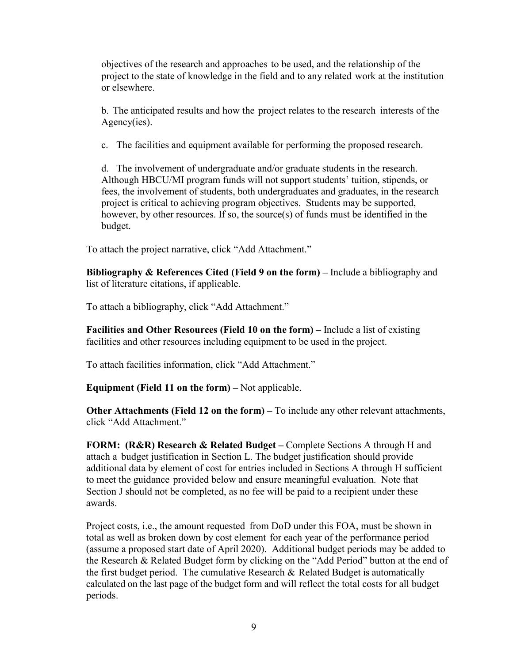objectives of the research and approaches to be used, and the relationship of the project to the state of knowledge in the field and to any related work at the institution or elsewhere.

b. The anticipated results and how the project relates to the research interests of the Agency(ies).

c. The facilities and equipment available for performing the proposed research.

d. The involvement of undergraduate and/or graduate students in the research. Although HBCU/MI program funds will not support students' tuition, stipends, or fees, the involvement of students, both undergraduates and graduates, in the research project is critical to achieving program objectives. Students may be supported, however, by other resources. If so, the source(s) of funds must be identified in the budget.

To attach the project narrative, click "Add Attachment."

**Bibliography & References Cited (Field 9 on the form) –** Include a bibliography and list of literature citations, if applicable.

To attach a bibliography, click "Add Attachment."

**Facilities and Other Resources (Field 10 on the form) –** Include a list of existing facilities and other resources including equipment to be used in the project.

To attach facilities information, click "Add Attachment."

**Equipment (Field 11 on the form) –** Not applicable.

**Other Attachments (Field 12 on the form) –** To include any other relevant attachments, click "Add Attachment."

**FORM: (R&R) Research & Related Budget –** Complete Sections A through H and attach a budget justification in Section L. The budget justification should provide additional data by element of cost for entries included in Sections A through H sufficient to meet the guidance provided below and ensure meaningful evaluation. Note that Section J should not be completed, as no fee will be paid to a recipient under these awards.

Project costs, i.e., the amount requested from DoD under this FOA, must be shown in total as well as broken down by cost element for each year of the performance period (assume a proposed start date of April 2020). Additional budget periods may be added to the Research & Related Budget form by clicking on the "Add Period" button at the end of the first budget period. The cumulative Research  $\&$  Related Budget is automatically calculated on the last page of the budget form and will reflect the total costs for all budget periods.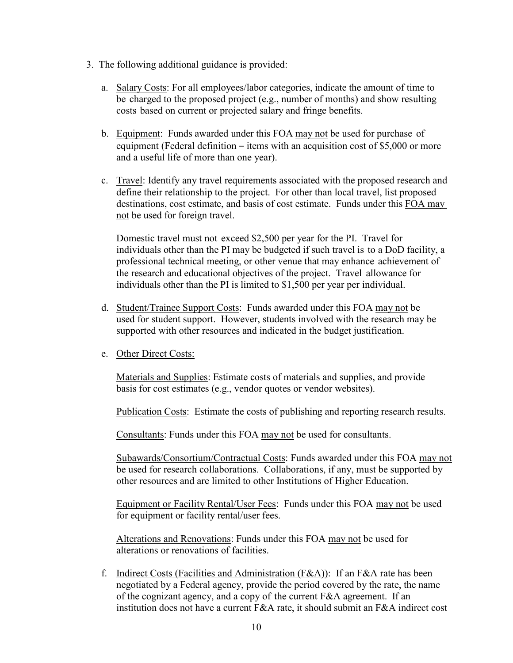- 3. The following additional guidance is provided:
	- a. Salary Costs: For all employees/labor categories, indicate the amount of time to be charged to the proposed project (e.g., number of months) and show resulting costs based on current or projected salary and fringe benefits.
	- b. Equipment: Funds awarded under this FOA may not be used for purchase of equipment (Federal definition – items with an acquisition cost of \$5,000 or more and a useful life of more than one year).
	- c. Travel: Identify any travel requirements associated with the proposed research and define their relationship to the project. For other than local travel, list proposed destinations, cost estimate, and basis of cost estimate. Funds under this FOA may not be used for foreign travel.

Domestic travel must not exceed \$2,500 per year for the PI. Travel for individuals other than the PI may be budgeted if such travel is to a DoD facility, a professional technical meeting, or other venue that may enhance achievement of the research and educational objectives of the project. Travel allowance for individuals other than the PI is limited to \$1,500 per year per individual.

- d. Student/Trainee Support Costs: Funds awarded under this FOA may not be used for student support. However, students involved with the research may be supported with other resources and indicated in the budget justification.
- e. Other Direct Costs:

Materials and Supplies: Estimate costs of materials and supplies, and provide basis for cost estimates (e.g., vendor quotes or vendor websites).

Publication Costs: Estimate the costs of publishing and reporting research results.

Consultants: Funds under this FOA may not be used for consultants.

Subawards/Consortium/Contractual Costs: Funds awarded under this FOA may not be used for research collaborations. Collaborations, if any, must be supported by other resources and are limited to other Institutions of Higher Education.

Equipment or Facility Rental/User Fees: Funds under this FOA may not be used for equipment or facility rental/user fees.

Alterations and Renovations: Funds under this FOA may not be used for alterations or renovations of facilities.

f. Indirect Costs (Facilities and Administration (F&A)): If an F&A rate has been negotiated by a Federal agency, provide the period covered by the rate, the name of the cognizant agency, and a copy of the current F&A agreement. If an institution does not have a current F&A rate, it should submit an F&A indirect cost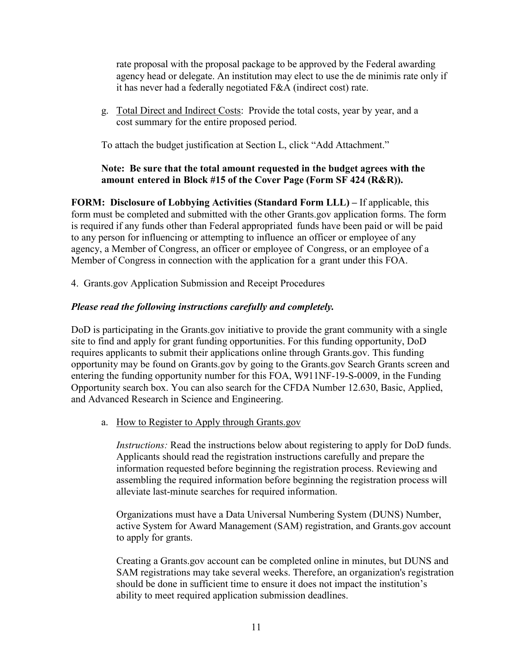rate proposal with the proposal package to be approved by the Federal awarding agency head or delegate. An institution may elect to use the de minimis rate only if it has never had a federally negotiated F&A (indirect cost) rate.

g. Total Direct and Indirect Costs: Provide the total costs, year by year, and a cost summary for the entire proposed period.

To attach the budget justification at Section L, click "Add Attachment."

# **Note: Be sure that the total amount requested in the budget agrees with the amount entered in Block #15 of the Cover Page (Form SF 424 (R&R)).**

**FORM: Disclosure of Lobbying Activities (Standard Form LLL) –** If applicable, this form must be completed and submitted with the other Grants.gov application forms. The form is required if any funds other than Federal appropriated funds have been paid or will be paid to any person for influencing or attempting to influence an officer or employee of any agency, a Member of Congress, an officer or employee of Congress, or an employee of a Member of Congress in connection with the application for a grant under this FOA.

<span id="page-10-0"></span>4. Grants.gov Application Submission and Receipt Procedures

# *Please read the following instructions carefully and completely.*

DoD is participating in the Grants.gov initiative to provide the grant community with a single site to find and apply for grant funding opportunities. For this funding opportunity, DoD requires applicants to submit their applications online through Grants.gov. This funding opportunity may be found on Grants.gov by going to the Grants.gov Search Grants screen and entering the funding opportunity number for this FOA, W911NF-19-S-0009, in the Funding Opportunity search box. You can also search for the CFDA Number 12.630, Basic, Applied, and Advanced Research in Science and Engineering.

a. How to Register to Apply through Grants.gov

*Instructions:* Read the instructions below about registering to apply for DoD funds. Applicants should read the registration instructions carefully and prepare the information requested before beginning the registration process. Reviewing and assembling the required information before beginning the registration process will alleviate last-minute searches for required information.

Organizations must have a Data Universal Numbering System (DUNS) Number, active System for Award Management (SAM) registration, and Grants.gov account to apply for grants.

Creating a Grants.gov account can be completed online in minutes, but DUNS and SAM registrations may take several weeks. Therefore, an organization's registration should be done in sufficient time to ensure it does not impact the institution's ability to meet required application submission deadlines.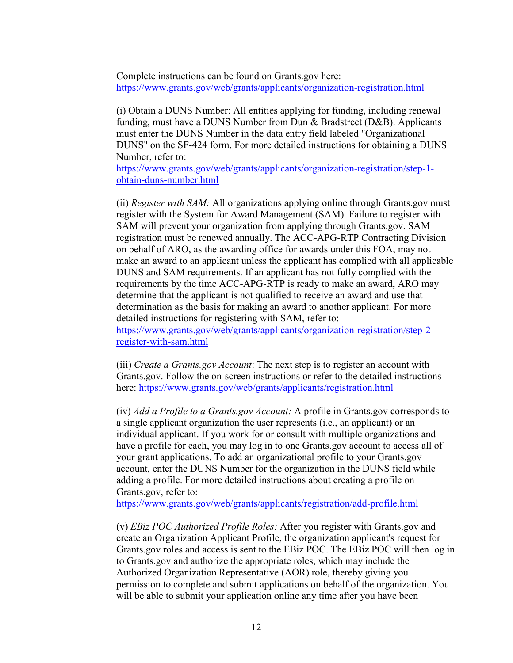Complete instructions can be found on Grants.gov here: <https://www.grants.gov/web/grants/applicants/organization-registration.html>

(i) Obtain a DUNS Number: All entities applying for funding, including renewal funding, must have a DUNS Number from Dun & Bradstreet (D&B). Applicants must enter the DUNS Number in the data entry field labeled "Organizational DUNS" on the SF-424 form. For more detailed instructions for obtaining a DUNS Number, refer to:

[https://www.grants.gov/web/grants/applicants/organization-registration/step-1](https://www.grants.gov/web/grants/applicants/organization-registration/step-1-obtain-duns-number.html) [obtain-duns-number.html](https://www.grants.gov/web/grants/applicants/organization-registration/step-1-obtain-duns-number.html)

(ii) *Register with SAM:* All organizations applying online through Grants.gov must register with the System for Award Management (SAM). Failure to register with SAM will prevent your organization from applying through Grants.gov. SAM registration must be renewed annually. The ACC-APG-RTP Contracting Division on behalf of ARO, as the awarding office for awards under this FOA, may not make an award to an applicant unless the applicant has complied with all applicable DUNS and SAM requirements. If an applicant has not fully complied with the requirements by the time ACC-APG-RTP is ready to make an award, ARO may determine that the applicant is not qualified to receive an award and use that determination as the basis for making an award to another applicant. For more detailed instructions for registering with SAM, refer to:

[https://www.grants.gov/web/grants/applicants/organization-registration/step-2](https://www.grants.gov/web/grants/applicants/organization-registration/step-2-register-with-sam.html) [register-with-sam.html](https://www.grants.gov/web/grants/applicants/organization-registration/step-2-register-with-sam.html)

(iii) *Create a Grants.gov Account*: The next step is to register an account with Grants.gov. Follow the on-screen instructions or refer to the detailed instructions here:<https://www.grants.gov/web/grants/applicants/registration.html>

(iv) *Add a Profile to a Grants.gov Account:* A profile in Grants.gov corresponds to a single applicant organization the user represents (i.e., an applicant) or an individual applicant. If you work for or consult with multiple organizations and have a profile for each, you may log in to one Grants.gov account to access all of your grant applications. To add an organizational profile to your Grants.gov account, enter the DUNS Number for the organization in the DUNS field while adding a profile. For more detailed instructions about creating a profile on Grants.gov, refer to:

<https://www.grants.gov/web/grants/applicants/registration/add-profile.html>

(v) *EBiz POC Authorized Profile Roles:* After you register with Grants.gov and create an Organization Applicant Profile, the organization applicant's request for Grants.gov roles and access is sent to the EBiz POC. The EBiz POC will then log in to Grants.gov and authorize the appropriate roles, which may include the Authorized Organization Representative (AOR) role, thereby giving you permission to complete and submit applications on behalf of the organization. You will be able to submit your application online any time after you have been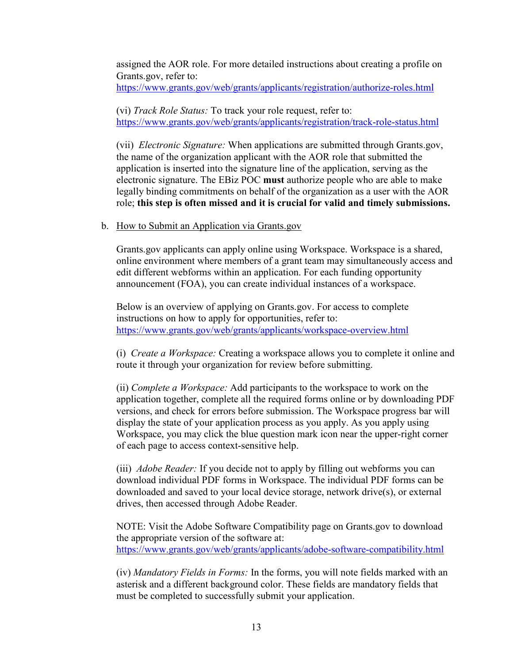assigned the AOR role. For more detailed instructions about creating a profile on Grants.gov, refer to:

<https://www.grants.gov/web/grants/applicants/registration/authorize-roles.html>

(vi) *Track Role Status:* To track your role request, refer to: <https://www.grants.gov/web/grants/applicants/registration/track-role-status.html>

(vii) *Electronic Signature:* When applications are submitted through Grants.gov, the name of the organization applicant with the AOR role that submitted the application is inserted into the signature line of the application, serving as the electronic signature. The EBiz POC **must** authorize people who are able to make legally binding commitments on behalf of the organization as a user with the AOR role; **this step is often missed and it is crucial for valid and timely submissions.**

#### b. How to Submit an Application via Grants.gov

Grants.gov applicants can apply online using Workspace. Workspace is a shared, online environment where members of a grant team may simultaneously access and edit different webforms within an application. For each funding opportunity announcement (FOA), you can create individual instances of a workspace.

Below is an overview of applying on Grants.gov. For access to complete instructions on how to apply for opportunities, refer to: <https://www.grants.gov/web/grants/applicants/workspace-overview.html>

(i) *Create a Workspace:* Creating a workspace allows you to complete it online and route it through your organization for review before submitting.

(ii) *Complete a Workspace:* Add participants to the workspace to work on the application together, complete all the required forms online or by downloading PDF versions, and check for errors before submission. The Workspace progress bar will display the state of your application process as you apply. As you apply using Workspace, you may click the blue question mark icon near the upper-right corner of each page to access context-sensitive help.

(iii) *Adobe Reader:* If you decide not to apply by filling out webforms you can download individual PDF forms in Workspace. The individual PDF forms can be downloaded and saved to your local device storage, network drive(s), or external drives, then accessed through Adobe Reader.

NOTE: Visit the Adobe Software Compatibility page on Grants.gov to download the appropriate version of the software at: <https://www.grants.gov/web/grants/applicants/adobe-software-compatibility.html>

(iv) *Mandatory Fields in Forms:* In the forms, you will note fields marked with an asterisk and a different background color. These fields are mandatory fields that must be completed to successfully submit your application.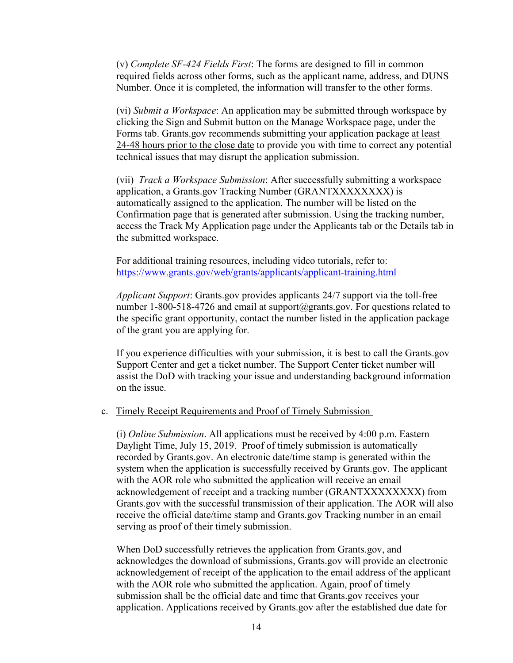(v) *Complete SF-424 Fields First*: The forms are designed to fill in common required fields across other forms, such as the applicant name, address, and DUNS Number. Once it is completed, the information will transfer to the other forms.

(vi) *Submit a Workspace*: An application may be submitted through workspace by clicking the Sign and Submit button on the Manage Workspace page, under the Forms tab. Grants.gov recommends submitting your application package at least 24-48 hours prior to the close date to provide you with time to correct any potential technical issues that may disrupt the application submission.

(vii) *Track a Workspace Submission*: After successfully submitting a workspace application, a Grants.gov Tracking Number (GRANTXXXXXXXX) is automatically assigned to the application. The number will be listed on the Confirmation page that is generated after submission. Using the tracking number, access the Track My Application page under the Applicants tab or the Details tab in the submitted workspace.

For additional training resources, including video tutorials, refer to: <https://www.grants.gov/web/grants/applicants/applicant-training.html>

*Applicant Support*: Grants.gov provides applicants 24/7 support via the toll-free number 1-800-518-4726 and email at support@grants.gov. For questions related to the specific grant opportunity, contact the number listed in the application package of the grant you are applying for.

If you experience difficulties with your submission, it is best to call the Grants.gov Support Center and get a ticket number. The Support Center ticket number will assist the DoD with tracking your issue and understanding background information on the issue.

## c. Timely Receipt Requirements and Proof of Timely Submission

(i) *Online Submission*. All applications must be received by 4:00 p.m. Eastern Daylight Time, July 15, 2019. Proof of timely submission is automatically recorded by Grants.gov. An electronic date/time stamp is generated within the system when the application is successfully received by Grants.gov. The applicant with the AOR role who submitted the application will receive an email acknowledgement of receipt and a tracking number (GRANTXXXXXXXX) from Grants.gov with the successful transmission of their application. The AOR will also receive the official date/time stamp and Grants.gov Tracking number in an email serving as proof of their timely submission.

When DoD successfully retrieves the application from Grants.gov, and acknowledges the download of submissions, Grants.gov will provide an electronic acknowledgement of receipt of the application to the email address of the applicant with the AOR role who submitted the application. Again, proof of timely submission shall be the official date and time that Grants.gov receives your application. Applications received by Grants.gov after the established due date for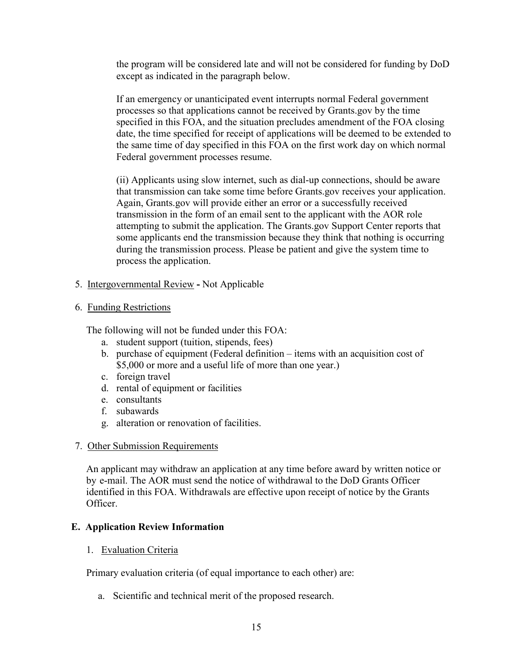the program will be considered late and will not be considered for funding by DoD except as indicated in the paragraph below.

If an emergency or unanticipated event interrupts normal Federal government processes so that applications cannot be received by Grants.gov by the time specified in this FOA, and the situation precludes amendment of the FOA closing date, the time specified for receipt of applications will be deemed to be extended to the same time of day specified in this FOA on the first work day on which normal Federal government processes resume.

(ii) Applicants using slow internet, such as dial-up connections, should be aware that transmission can take some time before Grants.gov receives your application. Again, Grants.gov will provide either an error or a successfully received transmission in the form of an email sent to the applicant with the AOR role attempting to submit the application. The Grants.gov Support Center reports that some applicants end the transmission because they think that nothing is occurring during the transmission process. Please be patient and give the system time to process the application.

<span id="page-14-0"></span>5. Intergovernmental Review **-** Not Applicable

# <span id="page-14-1"></span>6. Funding Restrictions

The following will not be funded under this FOA:

- a. student support (tuition, stipends, fees)
- b. purchase of equipment (Federal definition items with an acquisition cost of \$5,000 or more and a useful life of more than one year.)
- c. foreign travel
- d. rental of equipment or facilities
- e. consultants
- f. subawards
- g. alteration or renovation of facilities.

## <span id="page-14-2"></span>7. Other Submission Requirements

An applicant may withdraw an application at any time before award by written notice or by e-mail. The AOR must send the notice of withdrawal to the DoD Grants Officer identified in this FOA. Withdrawals are effective upon receipt of notice by the Grants Officer.

## <span id="page-14-4"></span><span id="page-14-3"></span>**E. Application Review Information**

1. Evaluation Criteria

Primary evaluation criteria (of equal importance to each other) are:

a. Scientific and technical merit of the proposed research.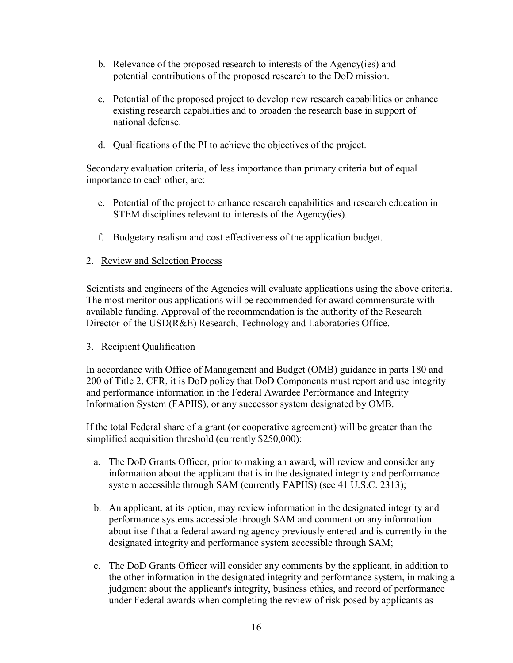- b. Relevance of the proposed research to interests of the Agency(ies) and potential contributions of the proposed research to the DoD mission.
- c. Potential of the proposed project to develop new research capabilities or enhance existing research capabilities and to broaden the research base in support of national defense.
- d. Qualifications of the PI to achieve the objectives of the project.

Secondary evaluation criteria, of less importance than primary criteria but of equal importance to each other, are:

- e. Potential of the project to enhance research capabilities and research education in STEM disciplines relevant to interests of the Agency(ies).
- f. Budgetary realism and cost effectiveness of the application budget.

# <span id="page-15-0"></span>2. Review and Selection Process

Scientists and engineers of the Agencies will evaluate applications using the above criteria. The most meritorious applications will be recommended for award commensurate with available funding. Approval of the recommendation is the authority of the Research Director of the USD(R&E) Research, Technology and Laboratories Office.

## <span id="page-15-1"></span>3. Recipient Qualification

In accordance with Office of Management and Budget (OMB) guidance in parts 180 and 200 of Title 2, CFR, it is DoD policy that DoD Components must report and use integrity and performance information in the Federal Awardee Performance and Integrity Information System (FAPIIS), or any successor system designated by OMB.

If the total Federal share of a grant (or cooperative agreement) will be greater than the simplified acquisition threshold (currently \$250,000):

- a. The DoD Grants Officer, prior to making an award, will review and consider any information about the applicant that is in the designated integrity and performance system accessible through SAM (currently FAPIIS) (see 41 U.S.C. 2313);
- b. An applicant, at its option, may review information in the designated integrity and performance systems accessible through SAM and comment on any information about itself that a federal awarding agency previously entered and is currently in the designated integrity and performance system accessible through SAM;
- c. The DoD Grants Officer will consider any comments by the applicant, in addition to the other information in the designated integrity and performance system, in making a judgment about the applicant's integrity, business ethics, and record of performance under Federal awards when completing the review of risk posed by applicants as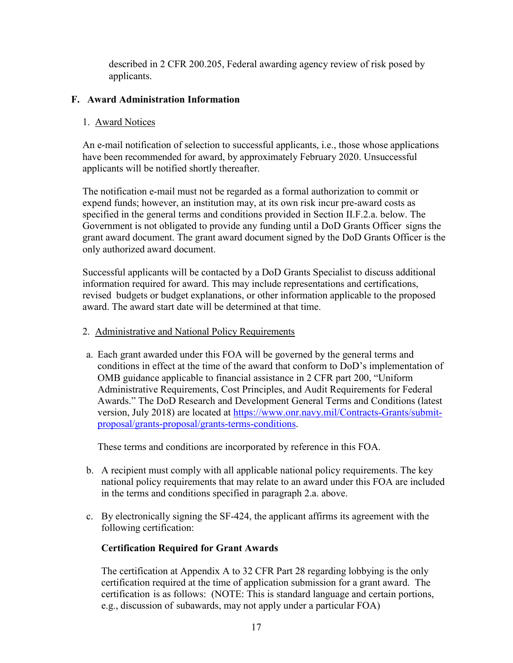described in 2 CFR 200.205, Federal awarding agency review of risk posed by applicants.

# <span id="page-16-1"></span><span id="page-16-0"></span>**F. Award Administration Information**

# 1. Award Notices

An e-mail notification of selection to successful applicants, i.e., those whose applications have been recommended for award, by approximately February 2020. Unsuccessful applicants will be notified shortly thereafter.

The notification e-mail must not be regarded as a formal authorization to commit or expend funds; however, an institution may, at its own risk incur pre-award costs as specified in the general terms and conditions provided in Section II.F.2.a. below. The Government is not obligated to provide any funding until a DoD Grants Officer signs the grant award document. The grant award document signed by the DoD Grants Officer is the only authorized award document.

Successful applicants will be contacted by a DoD Grants Specialist to discuss additional information required for award. This may include representations and certifications, revised budgets or budget explanations, or other information applicable to the proposed award. The award start date will be determined at that time.

# <span id="page-16-2"></span>2. Administrative and National Policy Requirements

a. Each grant awarded under this FOA will be governed by the general terms and conditions in effect at the time of the award that conform to DoD's implementation of OMB guidance applicable to financial assistance in 2 CFR part 200, "Uniform Administrative Requirements, Cost Principles, and Audit Requirements for Federal Awards." The DoD Research and Development General Terms and Conditions (latest version, July 2018) are located at [https://www.onr.navy.mil/Contracts-Grants/submit](https://www.onr.navy.mil/Contracts-Grants/submit-proposal/grants-proposal/grants-terms-conditions)[proposal/grants-proposal/grants-terms-conditions.](https://www.onr.navy.mil/Contracts-Grants/submit-proposal/grants-proposal/grants-terms-conditions)

These terms and conditions are incorporated by reference in this FOA.

- b. A recipient must comply with all applicable national policy requirements. The key national policy requirements that may relate to an award under this FOA are included in the terms and conditions specified in paragraph 2.a. above.
- c. By electronically signing the SF-424, the applicant affirms its agreement with the following certification:

# **Certification Required for Grant Awards**

The certification at Appendix A to 32 CFR Part 28 regarding lobbying is the only certification required at the time of application submission for a grant award. The certification is as follows: (NOTE: This is standard language and certain portions, e.g., discussion of subawards, may not apply under a particular FOA)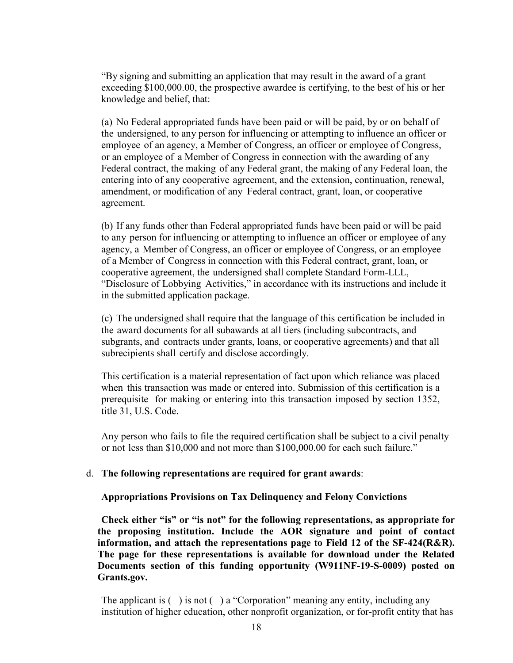"By signing and submitting an application that may result in the award of a grant exceeding \$100,000.00, the prospective awardee is certifying, to the best of his or her knowledge and belief, that:

(a) No Federal appropriated funds have been paid or will be paid, by or on behalf of the undersigned, to any person for influencing or attempting to influence an officer or employee of an agency, a Member of Congress, an officer or employee of Congress, or an employee of a Member of Congress in connection with the awarding of any Federal contract, the making of any Federal grant, the making of any Federal loan, the entering into of any cooperative agreement, and the extension, continuation, renewal, amendment, or modification of any Federal contract, grant, loan, or cooperative agreement.

(b) If any funds other than Federal appropriated funds have been paid or will be paid to any person for influencing or attempting to influence an officer or employee of any agency, a Member of Congress, an officer or employee of Congress, or an employee of a Member of Congress in connection with this Federal contract, grant, loan, or cooperative agreement, the undersigned shall complete Standard Form-LLL, "Disclosure of Lobbying Activities," in accordance with its instructions and include it in the submitted application package.

(c) The undersigned shall require that the language of this certification be included in the award documents for all subawards at all tiers (including subcontracts, and subgrants, and contracts under grants, loans, or cooperative agreements) and that all subrecipients shall certify and disclose accordingly.

This certification is a material representation of fact upon which reliance was placed when this transaction was made or entered into. Submission of this certification is a prerequisite for making or entering into this transaction imposed by section 1352, title 31, U.S. Code.

Any person who fails to file the required certification shall be subject to a civil penalty or not less than \$10,000 and not more than \$100,000.00 for each such failure."

#### d. **The following representations are required for grant awards**:

#### **Appropriations Provisions on Tax Delinquency and Felony Convictions**

**Check either "is" or "is not" for the following representations, as appropriate for the proposing institution. Include the AOR signature and point of contact information, and attach the representations page to Field 12 of the SF-424(R&R). The page for these representations is available for download under the Related Documents section of this funding opportunity (W911NF-19-S-0009) posted on Grants.gov.**

The applicant is  $( )$  is not  $( )$  a "Corporation" meaning any entity, including any institution of higher education, other nonprofit organization, or for-profit entity that has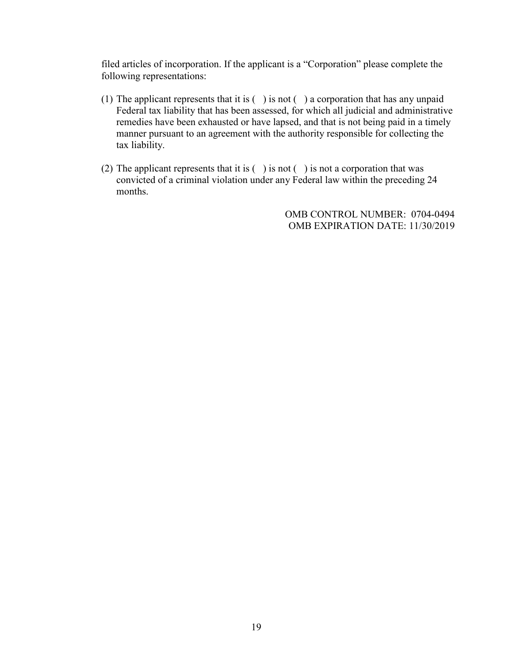filed articles of incorporation. If the applicant is a "Corporation" please complete the following representations:

- (1) The applicant represents that it is  $( )$  is not  $( )$  a corporation that has any unpaid Federal tax liability that has been assessed, for which all judicial and administrative remedies have been exhausted or have lapsed, and that is not being paid in a timely manner pursuant to an agreement with the authority responsible for collecting the tax liability.
- (2) The applicant represents that it is  $( )$  is not  $( )$  is not a corporation that was convicted of a criminal violation under any Federal law within the preceding 24 months.

OMB CONTROL NUMBER: 0704-0494 OMB EXPIRATION DATE: 11/30/2019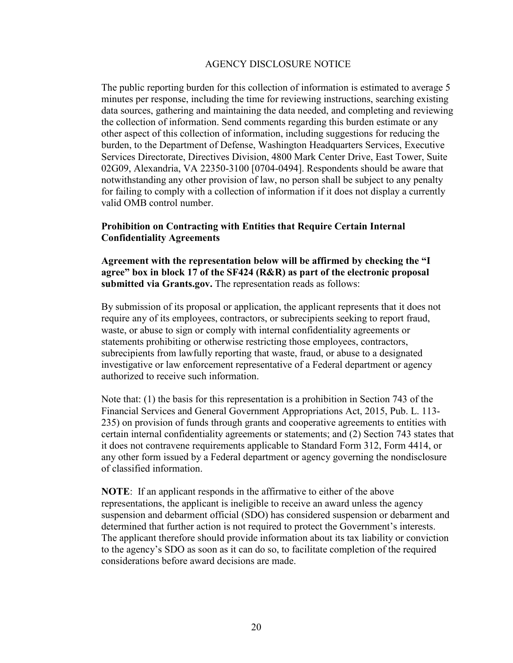## AGENCY DISCLOSURE NOTICE

The public reporting burden for this collection of information is estimated to average 5 minutes per response, including the time for reviewing instructions, searching existing data sources, gathering and maintaining the data needed, and completing and reviewing the collection of information. Send comments regarding this burden estimate or any other aspect of this collection of information, including suggestions for reducing the burden, to the Department of Defense, Washington Headquarters Services, Executive Services Directorate, Directives Division, 4800 Mark Center Drive, East Tower, Suite 02G09, Alexandria, VA 22350-3100 [0704-0494]. Respondents should be aware that notwithstanding any other provision of law, no person shall be subject to any penalty for failing to comply with a collection of information if it does not display a currently valid OMB control number.

## **Prohibition on Contracting with Entities that Require Certain Internal Confidentiality Agreements**

**Agreement with the representation below will be affirmed by checking the "I agree" box in block 17 of the SF424 (R&R) as part of the electronic proposal submitted via Grants.gov.** The representation reads as follows:

By submission of its proposal or application, the applicant represents that it does not require any of its employees, contractors, or subrecipients seeking to report fraud, waste, or abuse to sign or comply with internal confidentiality agreements or statements prohibiting or otherwise restricting those employees, contractors, subrecipients from lawfully reporting that waste, fraud, or abuse to a designated investigative or law enforcement representative of a Federal department or agency authorized to receive such information.

Note that: (1) the basis for this representation is a prohibition in Section 743 of the Financial Services and General Government Appropriations Act, 2015, Pub. L. 113- 235) on provision of funds through grants and cooperative agreements to entities with certain internal confidentiality agreements or statements; and (2) Section 743 states that it does not contravene requirements applicable to Standard Form 312, Form 4414, or any other form issued by a Federal department or agency governing the nondisclosure of classified information.

**NOTE**: If an applicant responds in the affirmative to either of the above representations, the applicant is ineligible to receive an award unless the agency suspension and debarment official (SDO) has considered suspension or debarment and determined that further action is not required to protect the Government's interests. The applicant therefore should provide information about its tax liability or conviction to the agency's SDO as soon as it can do so, to facilitate completion of the required considerations before award decisions are made.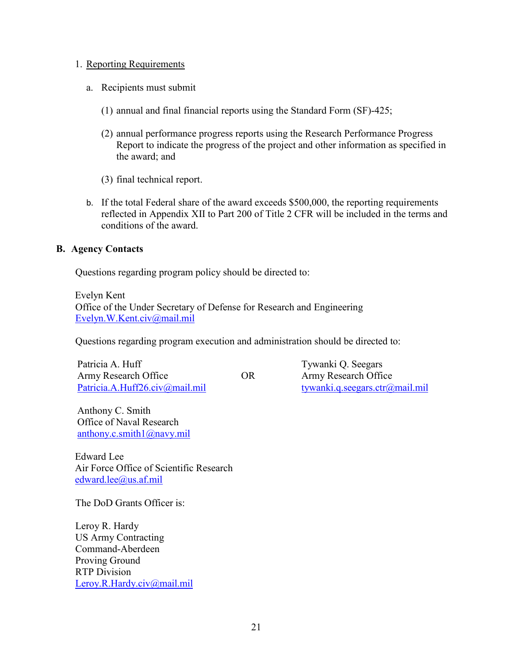## <span id="page-20-0"></span>1. Reporting Requirements

- a. Recipients must submit
	- (1) annual and final financial reports using the Standard Form (SF)-425;
	- (2) annual performance progress reports using the Research Performance Progress Report to indicate the progress of the project and other information as specified in the award; and
	- (3) final technical report.
- b. If the total Federal share of the award exceeds \$500,000, the reporting requirements reflected in Appendix XII to Part 200 of Title 2 CFR will be included in the terms and conditions of the award.

# <span id="page-20-1"></span>**B. Agency Contacts**

Questions regarding program policy should be directed to:

Evelyn Kent Office of the Under Secretary of Defense for Research and Engineering [Evelyn.W.Kent.civ@mail.mil](mailto:Evelyn.W.Kent.civ@mail.mil)

Questions regarding program execution and administration should be directed to:

Patricia A. Huff Army Research Office OR [Patricia.A.Huff26.civ@mail.mil](mailto:Patricia.A.Huff26.civ@mail.mil) [tywanki.q.seegars.ctr@mail.mil](mailto:tywanki.q.seegars.ctr@mail.mil)

Tywanki Q. Seegars Army Research Office

Anthony C. Smith Office of Naval Research [anthony.c.smith1@navy.mil](mailto:anthony.c.smith1@navy.mil)

Edward Lee Air Force Office of Scientific Research [edward.lee@us.af.mil](mailto:edward.lee@us.af.mil)

The DoD Grants Officer is:

Leroy R. Hardy US Army Contracting Command-Aberdeen Proving Ground RTP Division [Leroy.R.Hardy.civ@mail.mil](mailto:Leroy.R.Hardy.civ@mail.mil)